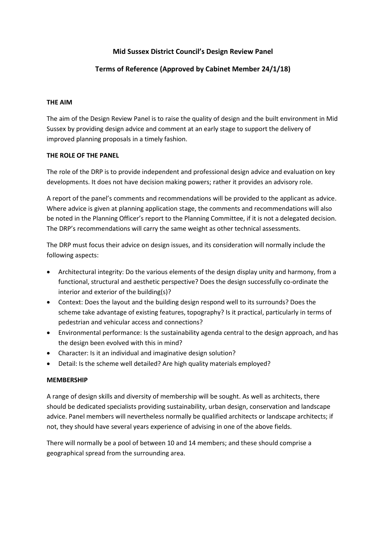# **Mid Sussex District Council's Design Review Panel**

# **Terms of Reference (Approved by Cabinet Member 24/1/18)**

### **THE AIM**

The aim of the Design Review Panel is to raise the quality of design and the built environment in Mid Sussex by providing design advice and comment at an early stage to support the delivery of improved planning proposals in a timely fashion.

### **THE ROLE OF THE PANEL**

The role of the DRP is to provide independent and professional design advice and evaluation on key developments. It does not have decision making powers; rather it provides an advisory role.

A report of the panel's comments and recommendations will be provided to the applicant as advice. Where advice is given at planning application stage, the comments and recommendations will also be noted in the Planning Officer's report to the Planning Committee, if it is not a delegated decision. The DRP's recommendations will carry the same weight as other technical assessments.

The DRP must focus their advice on design issues, and its consideration will normally include the following aspects:

- Architectural integrity: Do the various elements of the design display unity and harmony, from a functional, structural and aesthetic perspective? Does the design successfully co-ordinate the interior and exterior of the building(s)?
- Context: Does the layout and the building design respond well to its surrounds? Does the scheme take advantage of existing features, topography? Is it practical, particularly in terms of pedestrian and vehicular access and connections?
- Environmental performance: Is the sustainability agenda central to the design approach, and has the design been evolved with this in mind?
- Character: Is it an individual and imaginative design solution?
- Detail: Is the scheme well detailed? Are high quality materials employed?

## **MEMBERSHIP**

A range of design skills and diversity of membership will be sought. As well as architects, there should be dedicated specialists providing sustainability, urban design, conservation and landscape advice. Panel members will nevertheless normally be qualified architects or landscape architects; if not, they should have several years experience of advising in one of the above fields.

There will normally be a pool of between 10 and 14 members; and these should comprise a geographical spread from the surrounding area.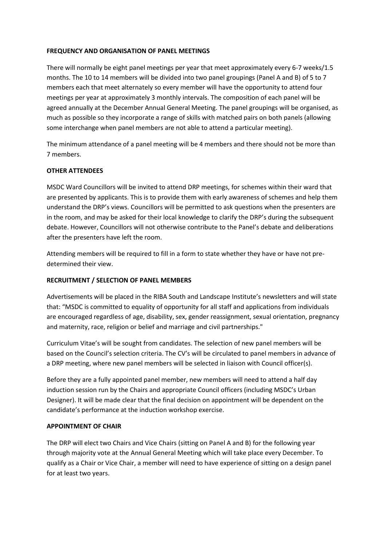### **FREQUENCY AND ORGANISATION OF PANEL MEETINGS**

There will normally be eight panel meetings per year that meet approximately every 6-7 weeks/1.5 months. The 10 to 14 members will be divided into two panel groupings (Panel A and B) of 5 to 7 members each that meet alternately so every member will have the opportunity to attend four meetings per year at approximately 3 monthly intervals. The composition of each panel will be agreed annually at the December Annual General Meeting. The panel groupings will be organised, as much as possible so they incorporate a range of skills with matched pairs on both panels (allowing some interchange when panel members are not able to attend a particular meeting).

The minimum attendance of a panel meeting will be 4 members and there should not be more than 7 members.

### **OTHER ATTENDEES**

MSDC Ward Councillors will be invited to attend DRP meetings, for schemes within their ward that are presented by applicants. This is to provide them with early awareness of schemes and help them understand the DRP's views. Councillors will be permitted to ask questions when the presenters are in the room, and may be asked for their local knowledge to clarify the DRP's during the subsequent debate. However, Councillors will not otherwise contribute to the Panel's debate and deliberations after the presenters have left the room.

Attending members will be required to fill in a form to state whether they have or have not predetermined their view.

### **RECRUITMENT / SELECTION OF PANEL MEMBERS**

Advertisements will be placed in the RIBA South and Landscape Institute's newsletters and will state that: "MSDC is committed to equality of opportunity for all staff and applications from individuals are encouraged regardless of age, disability, sex, gender reassignment, sexual orientation, pregnancy and maternity, race, religion or belief and marriage and civil partnerships."

Curriculum Vitae's will be sought from candidates. The selection of new panel members will be based on the Council's selection criteria. The CV's will be circulated to panel members in advance of a DRP meeting, where new panel members will be selected in liaison with Council officer(s).

Before they are a fully appointed panel member, new members will need to attend a half day induction session run by the Chairs and appropriate Council officers (including MSDC's Urban Designer). It will be made clear that the final decision on appointment will be dependent on the candidate's performance at the induction workshop exercise.

### **APPOINTMENT OF CHAIR**

The DRP will elect two Chairs and Vice Chairs (sitting on Panel A and B) for the following year through majority vote at the Annual General Meeting which will take place every December. To qualify as a Chair or Vice Chair, a member will need to have experience of sitting on a design panel for at least two years.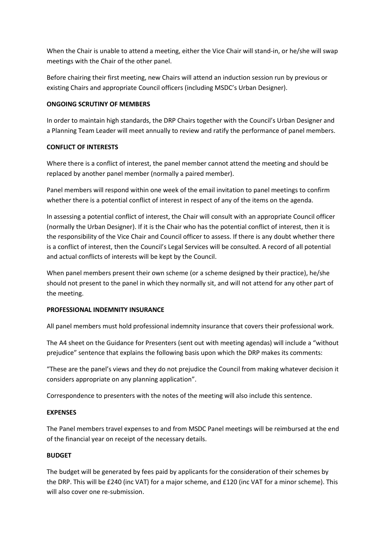When the Chair is unable to attend a meeting, either the Vice Chair will stand-in, or he/she will swap meetings with the Chair of the other panel.

Before chairing their first meeting, new Chairs will attend an induction session run by previous or existing Chairs and appropriate Council officers (including MSDC's Urban Designer).

## **ONGOING SCRUTINY OF MEMBERS**

In order to maintain high standards, the DRP Chairs together with the Council's Urban Designer and a Planning Team Leader will meet annually to review and ratify the performance of panel members.

## **CONFLICT OF INTERESTS**

Where there is a conflict of interest, the panel member cannot attend the meeting and should be replaced by another panel member (normally a paired member).

Panel members will respond within one week of the email invitation to panel meetings to confirm whether there is a potential conflict of interest in respect of any of the items on the agenda.

In assessing a potential conflict of interest, the Chair will consult with an appropriate Council officer (normally the Urban Designer). If it is the Chair who has the potential conflict of interest, then it is the responsibility of the Vice Chair and Council officer to assess. If there is any doubt whether there is a conflict of interest, then the Council's Legal Services will be consulted. A record of all potential and actual conflicts of interests will be kept by the Council.

When panel members present their own scheme (or a scheme designed by their practice), he/she should not present to the panel in which they normally sit, and will not attend for any other part of the meeting.

## **PROFESSIONAL INDEMNITY INSURANCE**

All panel members must hold professional indemnity insurance that covers their professional work.

The A4 sheet on the Guidance for Presenters (sent out with meeting agendas) will include a "without prejudice" sentence that explains the following basis upon which the DRP makes its comments:

"These are the panel's views and they do not prejudice the Council from making whatever decision it considers appropriate on any planning application".

Correspondence to presenters with the notes of the meeting will also include this sentence.

## **EXPENSES**

The Panel members travel expenses to and from MSDC Panel meetings will be reimbursed at the end of the financial year on receipt of the necessary details.

# **BUDGET**

The budget will be generated by fees paid by applicants for the consideration of their schemes by the DRP. This will be £240 (inc VAT) for a major scheme, and £120 (inc VAT for a minor scheme). This will also cover one re-submission.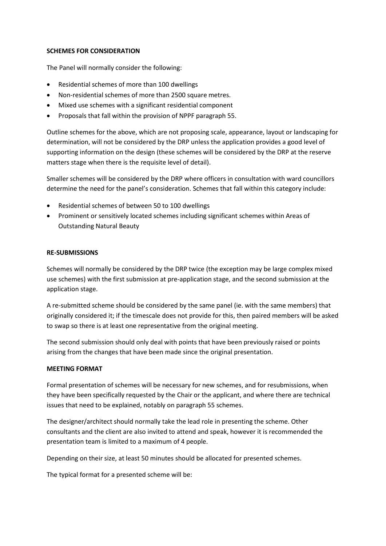### **SCHEMES FOR CONSIDERATION**

The Panel will normally consider the following:

- Residential schemes of more than 100 dwellings
- Non-residential schemes of more than 2500 square metres.
- Mixed use schemes with a significant residential component
- Proposals that fall within the provision of NPPF paragraph 55.

Outline schemes for the above, which are not proposing scale, appearance, layout or landscaping for determination, will not be considered by the DRP unless the application provides a good level of supporting information on the design (these schemes will be considered by the DRP at the reserve matters stage when there is the requisite level of detail).

Smaller schemes will be considered by the DRP where officers in consultation with ward councillors determine the need for the panel's consideration. Schemes that fall within this category include:

- Residential schemes of between 50 to 100 dwellings
- Prominent or sensitively located schemes including significant schemes within Areas of Outstanding Natural Beauty

#### **RE-SUBMISSIONS**

Schemes will normally be considered by the DRP twice (the exception may be large complex mixed use schemes) with the first submission at pre-application stage, and the second submission at the application stage.

A re-submitted scheme should be considered by the same panel (ie. with the same members) that originally considered it; if the timescale does not provide for this, then paired members will be asked to swap so there is at least one representative from the original meeting.

The second submission should only deal with points that have been previously raised or points arising from the changes that have been made since the original presentation.

### **MEETING FORMAT**

Formal presentation of schemes will be necessary for new schemes, and for resubmissions, when they have been specifically requested by the Chair or the applicant, and where there are technical issues that need to be explained, notably on paragraph 55 schemes.

The designer/architect should normally take the lead role in presenting the scheme. Other consultants and the client are also invited to attend and speak, however it is recommended the presentation team is limited to a maximum of 4 people.

Depending on their size, at least 50 minutes should be allocated for presented schemes.

The typical format for a presented scheme will be: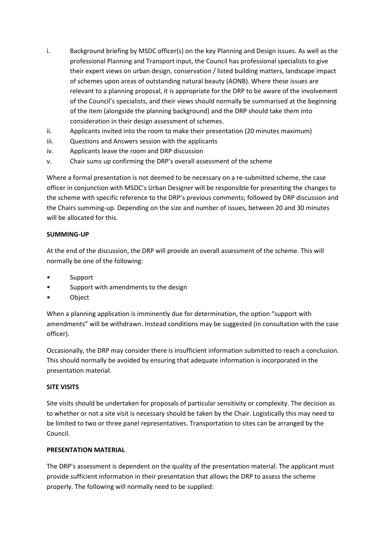- i. Background briefing by MSDC officer(s) on the key Planning and Design issues. As well as the professional Planning and Transport input, the Council has professional specialists to give their expert views on urban design, conservation / listed building matters, landscape impact of schemes upon areas of outstanding natural beauty (AONB). Where these issues are relevant to a planning proposal, it is appropriate for the DRP to be aware of the involvement of the Council's specialists, and their views should normally be summarised at the beginning of the item (alongside the planning background) and the DRP should take them into consideration in their design assessment of schemes.
- ii. Applicants invited into the room to make their presentation (20 minutes maximum)
- iii. Questions and Answers session with the applicants
- iv. Applicants leave the room and DRP discussion
- v. Chair sums up confirming the DRP's overall assessment of the scheme

Where a formal presentation is not deemed to be necessary on a re-submitted scheme, the case officer in conjunction with MSDC's Urban Designer will be responsible for presenting the changes to the scheme with specific reference to the DRP's previous comments; followed by DRP discussion and the Chairs summing-up. Depending on the size and number of issues, between 20 and 30 minutes will be allocated for this.

### **SUMMING-UP**

At the end of the discussion, the DRP will provide an overall assessment of the scheme. This will normally be one of the following:

- **Support**
- Support with amendments to the design
- Object

When a planning application is imminently due for determination, the option "support with amendments" will be withdrawn. Instead conditions may be suggested (in consultation with the case officer).

Occasionally, the DRP may consider there is insufficient information submitted to reach a conclusion. This should normally be avoided by ensuring that adequate information is incorporated in the presentation material.

### **SITE VISITS**

Site visits should be undertaken for proposals of particular sensitivity or complexity. The decision as to whether or not a site visit is necessary should be taken by the Chair. Logistically this may need to be limited to two or three panel representatives. Transportation to sites can be arranged by the Council.

### **PRESENTATION MATERIAL**

The DRP's assessment is dependent on the quality of the presentation material. The applicant must provide sufficient information in their presentation that allows the DRP to assess the scheme properly. The following will normally need to be supplied: